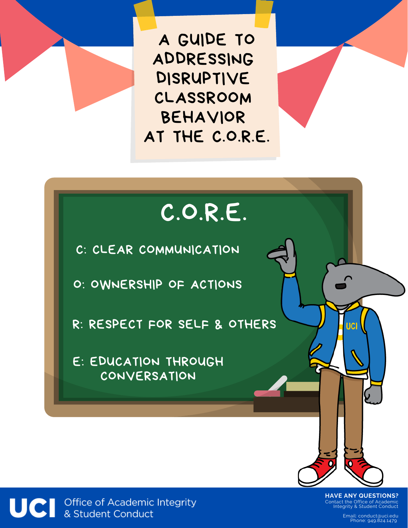A GUIDE TO ADDRESSING DISRUPTIVE CLASSROOM BEHAVIOR AT THE C.O.R.E.

# C.O.R.E.

C: CLEAR COMMUNICATION

O: OWNERSHIP OF ACTIONS

R: RESPECT FOR SELF & OTHERS

E: EDUCATION THROUGH CONVERSATION



Contact the Office of Academic Integrity & Student Conduct **HAVE ANY QUESTIONS?**

lic.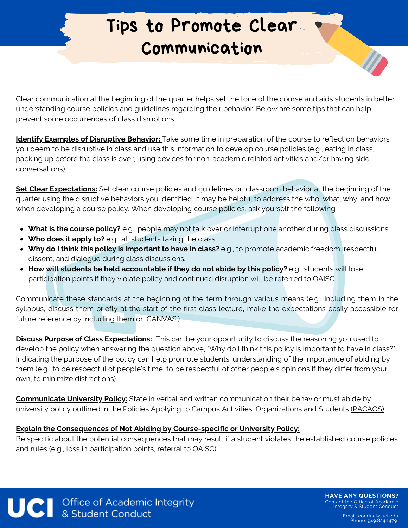#### Tips to Promote Clear Communication

Clear communication at the beginning of the quarter helps set the tone of the course and aids students in better understanding course policies and guidelines regarding their behavior. Below are some tips that can help prevent some occurrences of class disruptions.

**Identify Examples of Disruptive Behavior:** Take some time in preparation of the course to reflect on behaviors you deem to be disruptive in class and use this information to develop course policies (e.g., eating in class, packing up before the class is over, using devices for non-academic related activities and/or having side conversations).

**Set Clear Expectations:** Set clear course policies and guidelines on classroom behavior at the beginning of the quarter using the disruptive behaviors you identified. It may be helpful to address the who, what, why, and how when developing a course policy. When developing course policies, ask yourself the following:

- **What is the course policy?** e.g., people may not talk over or interrupt one another during class discussions.
- **Who does it apply to?** e.g., all students taking the class.
- **Why do I think this policy is important to have in class?** e.g., to promote academic freedom, respectful dissent, and dialogue during class discussions.
- **How will students be held accountable if they do not abide by this policy?** e.g., students will lose participation points if they violate policy and continued disruption will be referred to OAISC.

Communicate these standards at the beginning of the term through various means (e.g., including them in the syllabus, discuss them briefly at the start of the first class lecture, make the expectations easily accessible for future reference by including them on CANVAS.)

**Discuss Purpose of Class Expectations:** This can be your opportunity to discuss the reasoning you used to develop the policy when answering the question above, "Why do I think this policy is important to have in class?" Indicating the purpose of the policy can help promote students' understanding of the importance of abiding by them (e.g., to be respectful of people's time, to be respectful of other people's opinions if they differ from your own, to minimize distractions).

**Communicate University Policy:** State in verbal and written communication their behavior must abide by university policy outlined in the Policies Applying to Campus Activities, Organizations and Students [\(PACAOS\).](https://aisc.uci.edu/policies/pacaos/grounds-for-discipline.php)

#### **Explain the Consequences of Not Abiding by Course-specific or University Policy:**

Be specific about the potential consequences that may result if a student violates the established course policies and rules (e.g., loss in participation points, referral to OAISC).

UCI Office of Academic Integrity<br>& Student Conduct

**HAVE ANY QUESTIONS?** Contact the Office of Academic Integrity & Student Conduct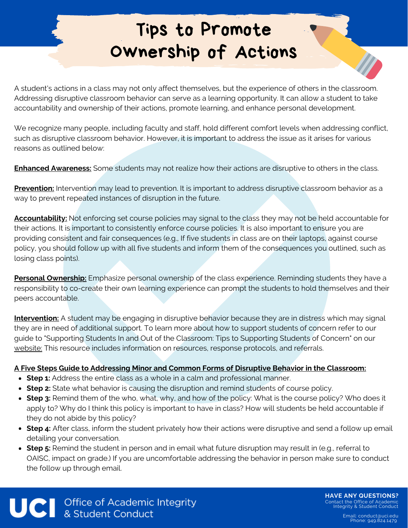### Tips to Promote Ownership of Actions

A student's actions in a class may not only affect themselves, but the experience of others in the classroom. Addressing disruptive classroom behavior can serve as a learning opportunity. It can allow a student to take accountability and ownership of their actions, promote learning, and enhance personal development.

We recognize many people, including faculty and staff, hold different comfort levels when addressing conflict, such as disruptive classroom behavior. However, it is important to address the issue as it arises for various reasons as outlined below:

**Enhanced Awareness:** Some students may not realize how their actions are disruptive to others in the class.

**Prevention:** Intervention may lead to prevention. It is important to address disruptive classroom behavior as a way to prevent repeated instances of disruption in the future.

**Accountability:** Not enforcing set course policies may signal to the class they may not be held accountable for their actions. It is important to consistently enforce course policies. It is also important to ensure you are providing consistent and fair consequences (e.g., If five students in class are on their laptops, against course policy, you should follow up with all five students and inform them of the consequences you outlined, such as losing class points).

**Personal Ownership:** Emphasize personal ownership of the class experience. Reminding students they have a responsibility to co-create their own learning experience can prompt the students to hold themselves and their peers accountable.

**Intervention:** A student may be engaging in disruptive behavior because they are in distress which may signal they are in need of additional support. To learn more about how to support students of concern refer to our guide to "Supporting Students In and Out of the Classroom: Tips to Supporting Students of Concern" on our [website:](https://aisc.uci.edu/faculty-staff/disruptive-students.php) This resource includes information on resources, response protocols, and referrals.

#### **A Five Steps Guide to Addressing Minor and Common Forms of Disruptive Behavior in the Classroom:**

- **Step 1:** Address the entire class as a whole in a calm and professional manner.
- **Step 2:** State what behavior is causing the disruption and remind students of course policy.
- **Step 3:** Remind them of the who, what, why, and how of the policy: What is the course policy? Who does it apply to? Why do I think this policy is important to have in class? How will students be held accountable if they do not abide by this policy?
- **Step 4:** After class, inform the student privately how their actions were disruptive and send a follow up email detailing your conversation.
- **Step 5:** Remind the student in person and in email what future disruption may result in (e.g., referral to OAISC, impact on grade.) If you are uncomfortable addressing the behavior in person make sure to conduct the follow up through email.

UCI Office of Academic Integrity<br>& Student Conduct

**HAVE ANY QUESTIONS?** Contact the Office of Academic Integrity & Student Conduct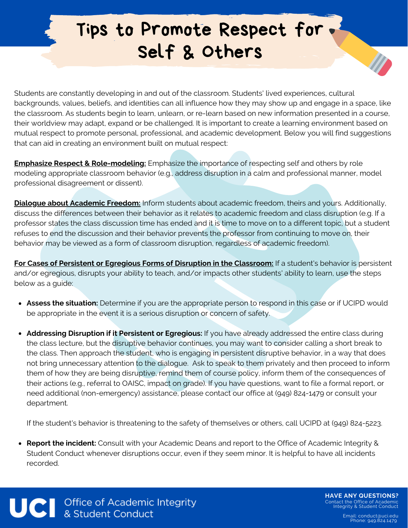## Tips to Promote Respect for Self & Others

Students are constantly developing in and out of the classroom. Students' lived experiences, cultural backgrounds, values, beliefs, and identities can all influence how they may show up and engage in a space, like the classroom. As students begin to learn, unlearn, or re-learn based on new information presented in a course, their worldview may adapt, expand or be challenged. It is important to create a learning environment based on mutual respect to promote personal, professional, and academic development. Below you will find suggestions that can aid in creating an environment built on mutual respect:

**Emphasize Respect & Role-modeling:** Emphasize the importance of respecting self and others by role modeling appropriate classroom behavior (e.g., address disruption in a calm and professional manner, model professional disagreement or dissent).

**Dialogue about Academic Freedom:** Inform students about academic freedom, theirs and yours. Additionally, discuss the differences between their behavior as it relates to academic freedom and class disruption (e.g. If a professor states the class discussion time has ended and it is time to move on to a different topic, but a student refuses to end the discussion and their behavior prevents the professor from continuing to move on, their behavior may be viewed as a form of classroom disruption, regardless of academic freedom).

**For Cases of Persistent or Egregious Forms of Disruption in the Classroom:** If a student's behavior is persistent and/or egregious, disrupts your ability to teach, and/or impacts other students' ability to learn, use the steps below as a guide:

- **Assess the situation:** Determine if you are the appropriate person to respond in this case or if UCIPD would be appropriate in the event it is a serious disruption or concern of safety.
- **Addressing Disruption if it Persistent or Egregious:** If you have already addressed the entire class during the class lecture, but the disruptive behavior continues, you may want to consider calling a short break to the class. Then approach the student, who is engaging in persistent disruptive behavior, in a way that does not bring unnecessary attention to the dialogue. Ask to speak to them privately and then proceed to inform them of how they are being disruptive, remind them of course policy, inform them of the consequences of their actions (e.g., referral to OAISC, impact on grade). If you have questions, want to file a formal report, or need additional (non-emergency) assistance, please contact our office at (949) 824-1479 or consult your department.

If the student's behavior is threatening to the safety of themselves or others, call UCIPD at (949) 824-5223.

**Report the incident:** Consult with your Academic Deans and report to the Office of Academic Integrity & Student Conduct whenever disruptions occur, even if they seem minor. It is helpful to have all incidents recorded.

UCI Office of Academic Integrity<br>& Student Conduct

**HAVE ANY QUESTIONS?** Contact the Office of Academic Integrity & Student Conduct